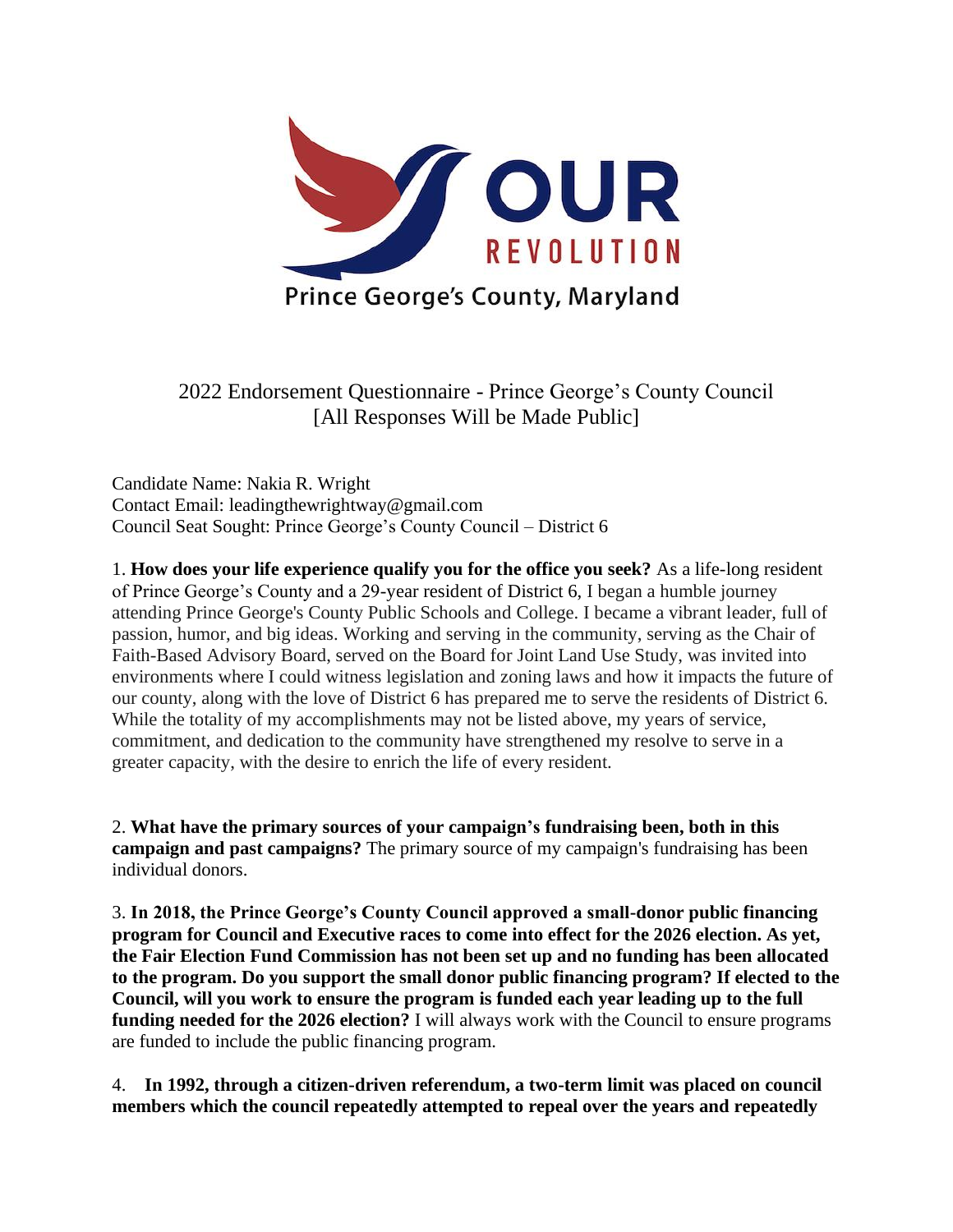

2022 Endorsement Questionnaire - Prince George's County Council [All Responses Will be Made Public]

Candidate Name: Nakia R. Wright Contact Email: leadingthewrightway@gmail.com Council Seat Sought: Prince George's County Council – District 6

1. **How does your life experience qualify you for the office you seek?** As a life-long resident of Prince George's County and a 29-year resident of District 6, I began a humble journey attending Prince George's County Public Schools and College. I became a vibrant leader, full of passion, humor, and big ideas. Working and serving in the community, serving as the Chair of Faith-Based Advisory Board, served on the Board for Joint Land Use Study, was invited into environments where I could witness legislation and zoning laws and how it impacts the future of our county, along with the love of District 6 has prepared me to serve the residents of District 6. While the totality of my accomplishments may not be listed above, my years of service, commitment, and dedication to the community have strengthened my resolve to serve in a greater capacity, with the desire to enrich the life of every resident.

2. **What have the primary sources of your campaign's fundraising been, both in this campaign and past campaigns?** The primary source of my campaign's fundraising has been individual donors.

3. **In 2018, the Prince George's County Council approved a small-donor public financing program for Council and Executive races to come into effect for the 2026 election. As yet, the Fair Election Fund Commission has not been set up and no funding has been allocated to the program. Do you support the small donor public financing program? If elected to the Council, will you work to ensure the program is funded each year leading up to the full funding needed for the 2026 election?** I will always work with the Council to ensure programs are funded to include the public financing program.

4. **In 1992, through a citizen-driven referendum, a two-term limit was placed on council members which the council repeatedly attempted to repeal over the years and repeatedly**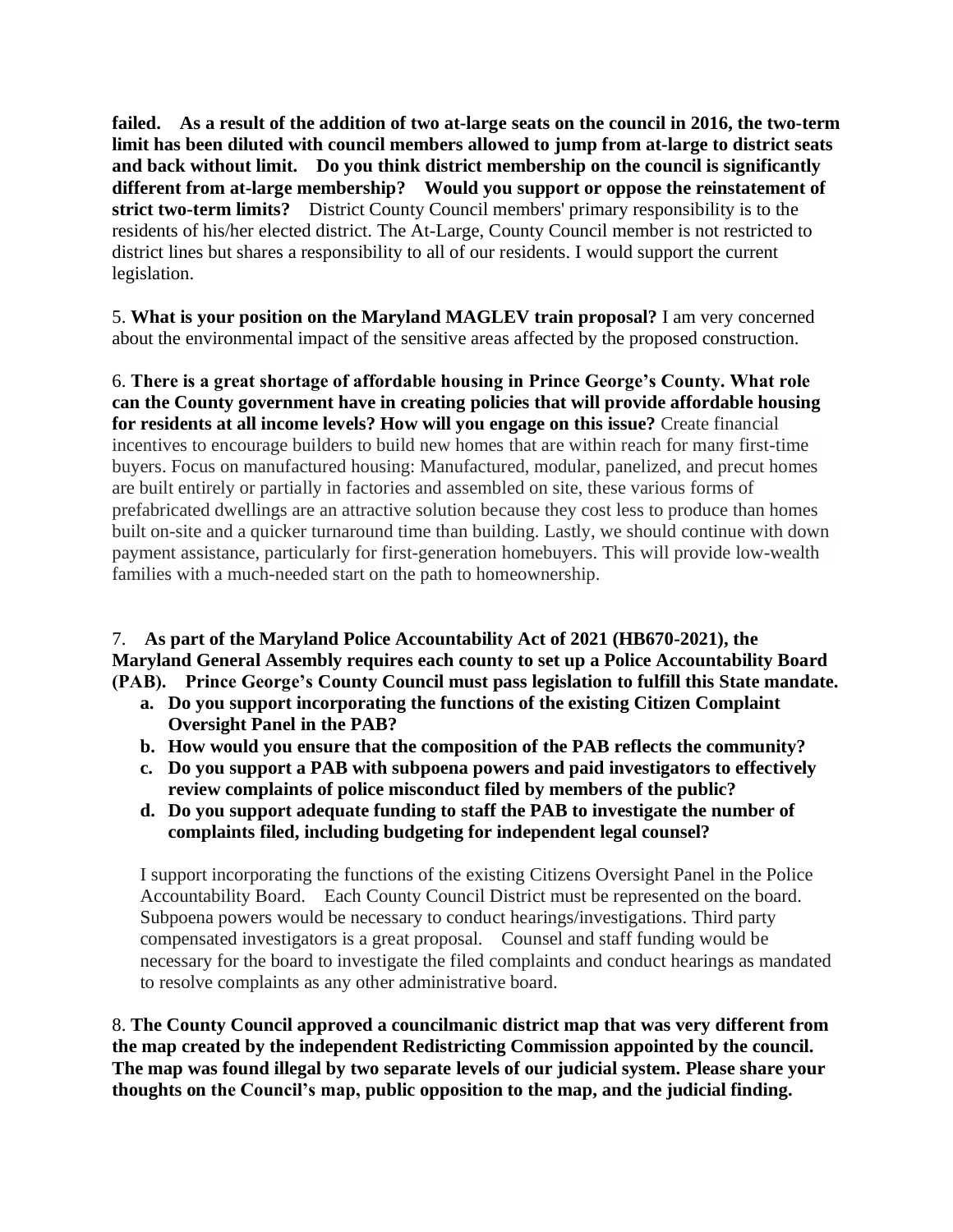**failed. As a result of the addition of two at-large seats on the council in 2016, the two-term limit has been diluted with council members allowed to jump from at-large to district seats and back without limit. Do you think district membership on the council is significantly different from at-large membership? Would you support or oppose the reinstatement of strict two-term limits?** District County Council members' primary responsibility is to the residents of his/her elected district. The At-Large, County Council member is not restricted to district lines but shares a responsibility to all of our residents. I would support the current legislation.

5. **What is your position on the Maryland MAGLEV train proposal?** I am very concerned about the environmental impact of the sensitive areas affected by the proposed construction.

6. **There is a great shortage of affordable housing in Prince George's County. What role can the County government have in creating policies that will provide affordable housing for residents at all income levels? How will you engage on this issue?** Create financial incentives to encourage builders to build new homes that are within reach for many first-time buyers. Focus on manufactured housing: Manufactured, modular, panelized, and precut homes are built entirely or partially in factories and assembled on site, these various forms of prefabricated dwellings are an attractive solution because they cost less to produce than homes built on-site and a quicker turnaround time than building. Lastly, we should continue with down payment assistance, particularly for first-generation homebuyers. This will provide low-wealth families with a much-needed start on the path to homeownership.

7. **As part of the Maryland Police Accountability Act of 2021 (HB670-2021), the Maryland General Assembly requires each county to set up a Police Accountability Board (PAB). Prince George's County Council must pass legislation to fulfill this State mandate.** 

- **a. Do you support incorporating the functions of the existing Citizen Complaint Oversight Panel in the PAB?**
- **b. How would you ensure that the composition of the PAB reflects the community?**
- **c. Do you support a PAB with subpoena powers and paid investigators to effectively review complaints of police misconduct filed by members of the public?**
- **d. Do you support adequate funding to staff the PAB to investigate the number of complaints filed, including budgeting for independent legal counsel?**

I support incorporating the functions of the existing Citizens Oversight Panel in the Police Accountability Board. Each County Council District must be represented on the board. Subpoena powers would be necessary to conduct hearings/investigations. Third party compensated investigators is a great proposal. Counsel and staff funding would be necessary for the board to investigate the filed complaints and conduct hearings as mandated to resolve complaints as any other administrative board.

8. **The County Council approved a councilmanic district map that was very different from the map created by the independent Redistricting Commission appointed by the council. The map was found illegal by two separate levels of our judicial system. Please share your thoughts on the Council's map, public opposition to the map, and the judicial finding.**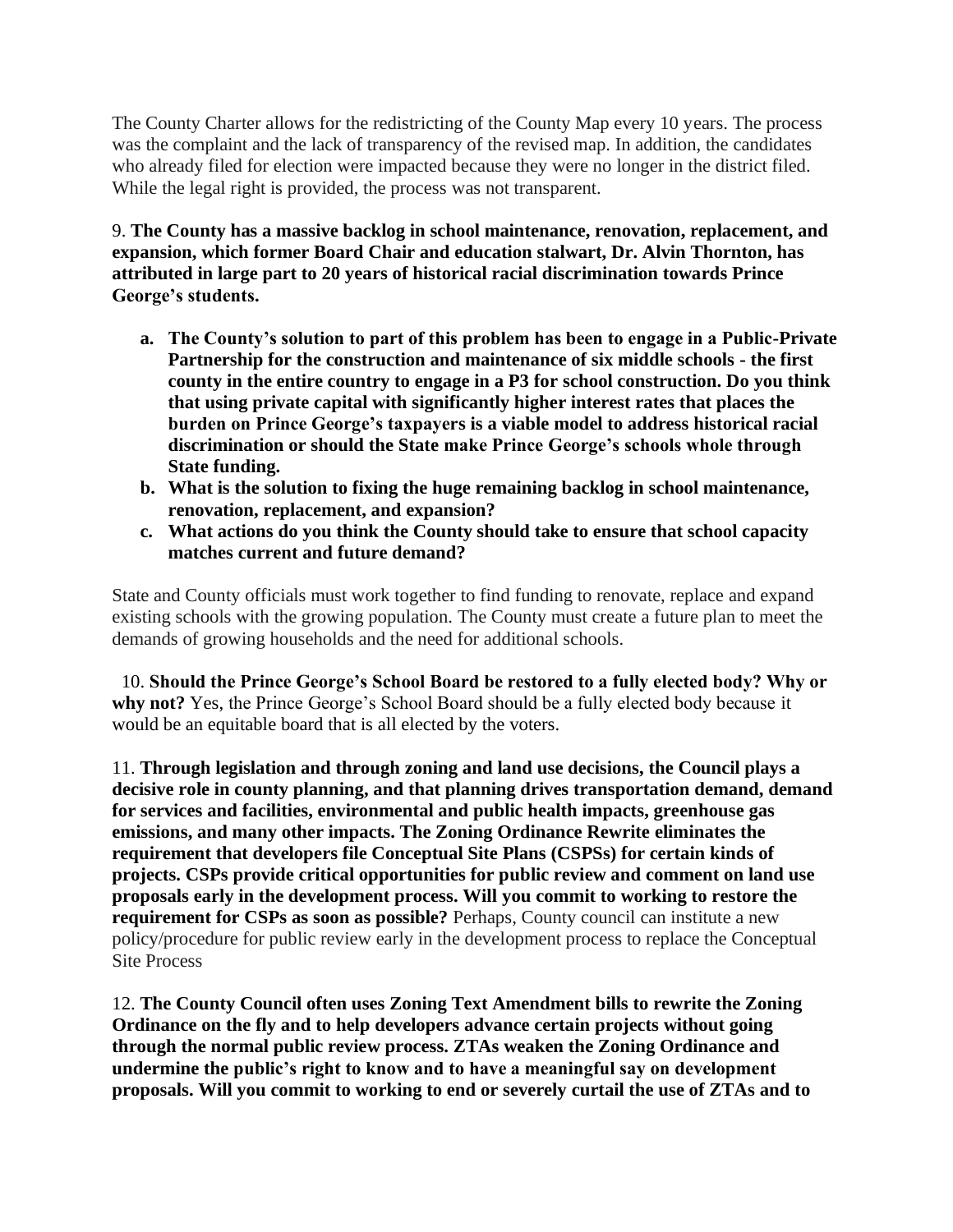The County Charter allows for the redistricting of the County Map every 10 years. The process was the complaint and the lack of transparency of the revised map. In addition, the candidates who already filed for election were impacted because they were no longer in the district filed. While the legal right is provided, the process was not transparent.

9. **The County has a massive backlog in school maintenance, renovation, replacement, and expansion, which former Board Chair and education stalwart, Dr. Alvin Thornton, has attributed in large part to 20 years of historical racial discrimination towards Prince George's students.**

- **a. The County's solution to part of this problem has been to engage in a Public-Private Partnership for the construction and maintenance of six middle schools - the first county in the entire country to engage in a P3 for school construction. Do you think that using private capital with significantly higher interest rates that places the burden on Prince George's taxpayers is a viable model to address historical racial discrimination or should the State make Prince George's schools whole through State funding.**
- **b. What is the solution to fixing the huge remaining backlog in school maintenance, renovation, replacement, and expansion?**
- **c. What actions do you think the County should take to ensure that school capacity matches current and future demand?**

State and County officials must work together to find funding to renovate, replace and expand existing schools with the growing population. The County must create a future plan to meet the demands of growing households and the need for additional schools.

10. **Should the Prince George's School Board be restored to a fully elected body? Why or why not?** Yes, the Prince George's School Board should be a fully elected body because it would be an equitable board that is all elected by the voters.

11. **Through legislation and through zoning and land use decisions, the Council plays a decisive role in county planning, and that planning drives transportation demand, demand for services and facilities, environmental and public health impacts, greenhouse gas emissions, and many other impacts. The Zoning Ordinance Rewrite eliminates the requirement that developers file Conceptual Site Plans (CSPSs) for certain kinds of projects. CSPs provide critical opportunities for public review and comment on land use proposals early in the development process. Will you commit to working to restore the requirement for CSPs as soon as possible?** Perhaps, County council can institute a new policy/procedure for public review early in the development process to replace the Conceptual Site Process

12. **The County Council often uses Zoning Text Amendment bills to rewrite the Zoning Ordinance on the fly and to help developers advance certain projects without going through the normal public review process. ZTAs weaken the Zoning Ordinance and undermine the public's right to know and to have a meaningful say on development proposals. Will you commit to working to end or severely curtail the use of ZTAs and to**